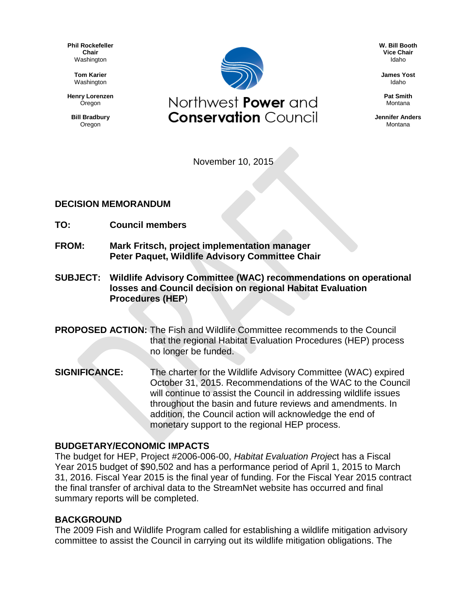**Phil Rockefeller Chair** Washington

> **Tom Karier** Washington

**Henry Lorenzen Oregon** 

**Bill Bradbury** Oregon



**W. Bill Booth Vice Chair** Idaho

**James Yost** Idaho

**Pat Smith** Montana

**Jennifer Anders** Montana

November 10, 2015

### **DECISION MEMORANDUM**

- **TO: Council members**
- **FROM: Mark Fritsch, project implementation manager Peter Paquet, Wildlife Advisory Committee Chair**
- **SUBJECT: Wildlife Advisory Committee (WAC) recommendations on operational losses and Council decision on regional Habitat Evaluation Procedures (HEP**)

**PROPOSED ACTION:** The Fish and Wildlife Committee recommends to the Council that the regional Habitat Evaluation Procedures (HEP) process no longer be funded.

**SIGNIFICANCE:** The charter for the Wildlife Advisory Committee (WAC) expired October 31, 2015. Recommendations of the WAC to the Council will continue to assist the Council in addressing wildlife issues throughout the basin and future reviews and amendments. In addition, the Council action will acknowledge the end of monetary support to the regional HEP process.

#### **BUDGETARY/ECONOMIC IMPACTS**

The budget for HEP, Project #2006-006-00, *Habitat Evaluation Projec*t has a Fiscal Year 2015 budget of \$90,502 and has a performance period of April 1, 2015 to March 31, 2016. Fiscal Year 2015 is the final year of funding. For the Fiscal Year 2015 contract the final transfer of archival data to the StreamNet website has occurred and final summary reports will be completed.

#### **BACKGROUND**

The 2009 Fish and Wildlife Program called for establishing a wildlife mitigation advisory committee to assist the Council in carrying out its wildlife mitigation obligations. The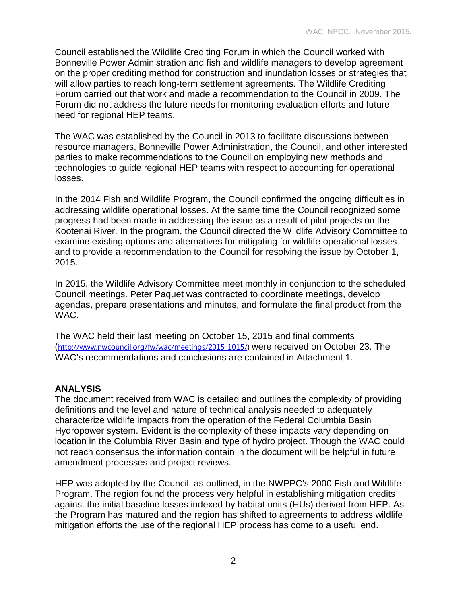Council established the Wildlife Crediting Forum in which the Council worked with Bonneville Power Administration and fish and wildlife managers to develop agreement on the proper crediting method for construction and inundation losses or strategies that will allow parties to reach long-term settlement agreements. The Wildlife Crediting Forum carried out that work and made a recommendation to the Council in 2009. The Forum did not address the future needs for monitoring evaluation efforts and future need for regional HEP teams.

The WAC was established by the Council in 2013 to facilitate discussions between resource managers, Bonneville Power Administration, the Council, and other interested parties to make recommendations to the Council on employing new methods and technologies to guide regional HEP teams with respect to accounting for operational losses.

In the 2014 Fish and Wildlife Program, the Council confirmed the ongoing difficulties in addressing wildlife operational losses. At the same time the Council recognized some progress had been made in addressing the issue as a result of pilot projects on the Kootenai River. In the program, the Council directed the Wildlife Advisory Committee to examine existing options and alternatives for mitigating for wildlife operational losses and to provide a recommendation to the Council for resolving the issue by October 1, 2015.

In 2015, the Wildlife Advisory Committee meet monthly in conjunction to the scheduled Council meetings. Peter Paquet was contracted to coordinate meetings, develop agendas, prepare presentations and minutes, and formulate the final product from the WAC.

The WAC held their last meeting on October 15, 2015 and final comments ([http://www.nwcouncil.org/fw/wac/meetings/2015\\_1015/\)](http://www.nwcouncil.org/fw/wac/meetings/2015_1015/) were received on October 23. The WAC's recommendations and conclusions are contained in Attachment 1.

## **ANALYSIS**

The document received from WAC is detailed and outlines the complexity of providing definitions and the level and nature of technical analysis needed to adequately characterize wildlife impacts from the operation of the Federal Columbia Basin Hydropower system. Evident is the complexity of these impacts vary depending on location in the Columbia River Basin and type of hydro project. Though the WAC could not reach consensus the information contain in the document will be helpful in future amendment processes and project reviews.

HEP was adopted by the Council, as outlined, in the NWPPC's 2000 Fish and Wildlife Program. The region found the process very helpful in establishing mitigation credits against the initial baseline losses indexed by habitat units (HUs) derived from HEP. As the Program has matured and the region has shifted to agreements to address wildlife mitigation efforts the use of the regional HEP process has come to a useful end.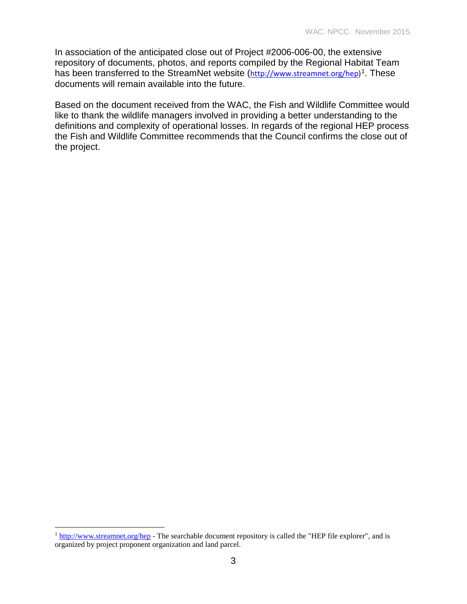In association of the anticipated close out of Project #2006-006-00, the extensive repository of documents, photos, and reports compiled by the Regional Habitat Team has been transferred to the StreamNet website ([http://www.streamnet.org/hep\)](http://www.streamnet.org/hep)<sup>[1](#page-2-0)</sup>. These documents will remain available into the future.

Based on the document received from the WAC, the Fish and Wildlife Committee would like to thank the wildlife managers involved in providing a better understanding to the definitions and complexity of operational losses. In regards of the regional HEP process the Fish and Wildlife Committee recommends that the Council confirms the close out of the project.

 $\overline{a}$ 

<span id="page-2-0"></span><sup>&</sup>lt;sup>1</sup> <http://www.streamnet.org/hep> - The searchable document repository is called the "HEP file explorer", and is organized by project proponent organization and land parcel.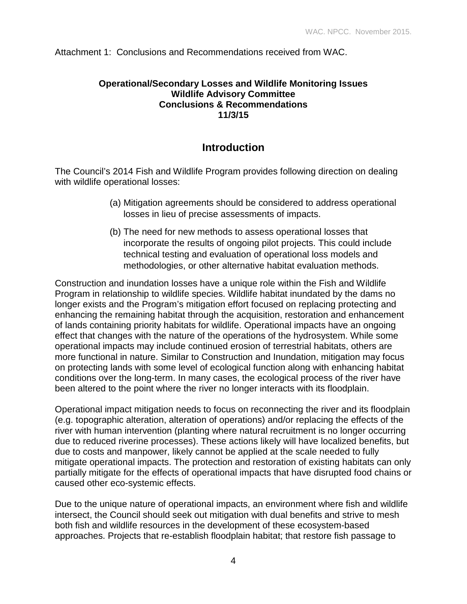Attachment 1: Conclusions and Recommendations received from WAC.

### **Operational/Secondary Losses and Wildlife Monitoring Issues Wildlife Advisory Committee Conclusions & Recommendations 11/3/15**

# **Introduction**

The Council's 2014 Fish and Wildlife Program provides following direction on dealing with wildlife operational losses:

- (a) Mitigation agreements should be considered to address operational losses in lieu of precise assessments of impacts.
- (b) The need for new methods to assess operational losses that incorporate the results of ongoing pilot projects. This could include technical testing and evaluation of operational loss models and methodologies, or other alternative habitat evaluation methods.

Construction and inundation losses have a unique role within the Fish and Wildlife Program in relationship to wildlife species. Wildlife habitat inundated by the dams no longer exists and the Program's mitigation effort focused on replacing protecting and enhancing the remaining habitat through the acquisition, restoration and enhancement of lands containing priority habitats for wildlife. Operational impacts have an ongoing effect that changes with the nature of the operations of the hydrosystem. While some operational impacts may include continued erosion of terrestrial habitats, others are more functional in nature. Similar to Construction and Inundation, mitigation may focus on protecting lands with some level of ecological function along with enhancing habitat conditions over the long-term. In many cases, the ecological process of the river have been altered to the point where the river no longer interacts with its floodplain.

Operational impact mitigation needs to focus on reconnecting the river and its floodplain (e.g. topographic alteration, alteration of operations) and/or replacing the effects of the river with human intervention (planting where natural recruitment is no longer occurring due to reduced riverine processes). These actions likely will have localized benefits, but due to costs and manpower, likely cannot be applied at the scale needed to fully mitigate operational impacts. The protection and restoration of existing habitats can only partially mitigate for the effects of operational impacts that have disrupted food chains or caused other eco-systemic effects.

Due to the unique nature of operational impacts, an environment where fish and wildlife intersect, the Council should seek out mitigation with dual benefits and strive to mesh both fish and wildlife resources in the development of these ecosystem-based approaches. Projects that re-establish floodplain habitat; that restore fish passage to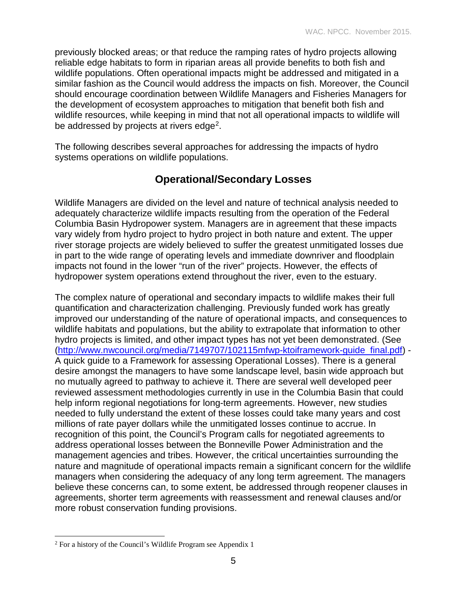previously blocked areas; or that reduce the ramping rates of hydro projects allowing reliable edge habitats to form in riparian areas all provide benefits to both fish and wildlife populations. Often operational impacts might be addressed and mitigated in a similar fashion as the Council would address the impacts on fish. Moreover, the Council should encourage coordination between Wildlife Managers and Fisheries Managers for the development of ecosystem approaches to mitigation that benefit both fish and wildlife resources, while keeping in mind that not all operational impacts to wildlife will be addressed by projects at rivers edge<sup>[2](#page-4-0)</sup>.

The following describes several approaches for addressing the impacts of hydro systems operations on wildlife populations.

# **Operational/Secondary Losses**

Wildlife Managers are divided on the level and nature of technical analysis needed to adequately characterize wildlife impacts resulting from the operation of the Federal Columbia Basin Hydropower system. Managers are in agreement that these impacts vary widely from hydro project to hydro project in both nature and extent. The upper river storage projects are widely believed to suffer the greatest unmitigated losses due in part to the wide range of operating levels and immediate downriver and floodplain impacts not found in the lower "run of the river" projects. However, the effects of hydropower system operations extend throughout the river, even to the estuary.

The complex nature of operational and secondary impacts to wildlife makes their full quantification and characterization challenging. Previously funded work has greatly improved our understanding of the nature of operational impacts, and consequences to wildlife habitats and populations, but the ability to extrapolate that information to other hydro projects is limited, and other impact types has not yet been demonstrated. (See [\(http://www.nwcouncil.org/media/7149707/102115mfwp-ktoiframework-guide\\_final.pdf\)](http://www.nwcouncil.org/media/7149707/102115mfwp-ktoiframework-guide_final.pdf) - A quick guide to a Framework for assessing Operational Losses). There is a general desire amongst the managers to have some landscape level, basin wide approach but no mutually agreed to pathway to achieve it. There are several well developed peer reviewed assessment methodologies currently in use in the Columbia Basin that could help inform regional negotiations for long-term agreements. However, new studies needed to fully understand the extent of these losses could take many years and cost millions of rate payer dollars while the unmitigated losses continue to accrue. In recognition of this point, the Council's Program calls for negotiated agreements to address operational losses between the Bonneville Power Administration and the management agencies and tribes. However, the critical uncertainties surrounding the nature and magnitude of operational impacts remain a significant concern for the wildlife managers when considering the adequacy of any long term agreement. The managers believe these concerns can, to some extent, be addressed through reopener clauses in agreements, shorter term agreements with reassessment and renewal clauses and/or more robust conservation funding provisions.

<span id="page-4-0"></span><sup>2</sup> For a history of the Council's Wildlife Program see Appendix 1  $\overline{a}$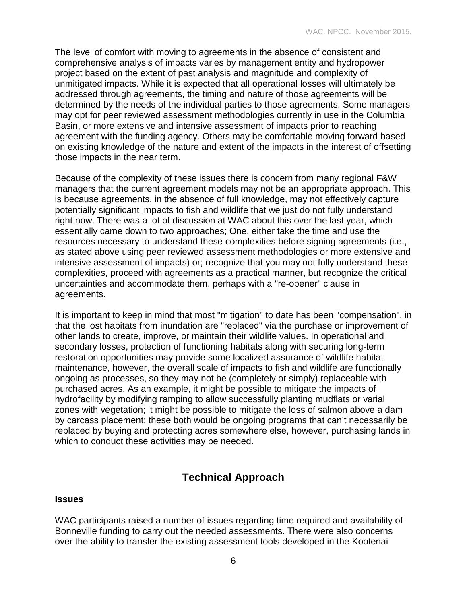The level of comfort with moving to agreements in the absence of consistent and comprehensive analysis of impacts varies by management entity and hydropower project based on the extent of past analysis and magnitude and complexity of unmitigated impacts. While it is expected that all operational losses will ultimately be addressed through agreements, the timing and nature of those agreements will be determined by the needs of the individual parties to those agreements. Some managers may opt for peer reviewed assessment methodologies currently in use in the Columbia Basin, or more extensive and intensive assessment of impacts prior to reaching agreement with the funding agency. Others may be comfortable moving forward based on existing knowledge of the nature and extent of the impacts in the interest of offsetting those impacts in the near term.

Because of the complexity of these issues there is concern from many regional F&W managers that the current agreement models may not be an appropriate approach. This is because agreements, in the absence of full knowledge, may not effectively capture potentially significant impacts to fish and wildlife that we just do not fully understand right now. There was a lot of discussion at WAC about this over the last year, which essentially came down to two approaches; One, either take the time and use the resources necessary to understand these complexities before signing agreements (i.e., as stated above using peer reviewed assessment methodologies or more extensive and intensive assessment of impacts) or; recognize that you may not fully understand these complexities, proceed with agreements as a practical manner, but recognize the critical uncertainties and accommodate them, perhaps with a "re-opener" clause in agreements.

It is important to keep in mind that most "mitigation" to date has been "compensation", in that the lost habitats from inundation are "replaced" via the purchase or improvement of other lands to create, improve, or maintain their wildlife values. In operational and secondary losses, protection of functioning habitats along with securing long-term restoration opportunities may provide some localized assurance of wildlife habitat maintenance, however, the overall scale of impacts to fish and wildlife are functionally ongoing as processes, so they may not be (completely or simply) replaceable with purchased acres. As an example, it might be possible to mitigate the impacts of hydrofacility by modifying ramping to allow successfully planting mudflats or varial zones with vegetation; it might be possible to mitigate the loss of salmon above a dam by carcass placement; these both would be ongoing programs that can't necessarily be replaced by buying and protecting acres somewhere else, however, purchasing lands in which to conduct these activities may be needed.

# **Technical Approach**

### **Issues**

WAC participants raised a number of issues regarding time required and availability of Bonneville funding to carry out the needed assessments. There were also concerns over the ability to transfer the existing assessment tools developed in the Kootenai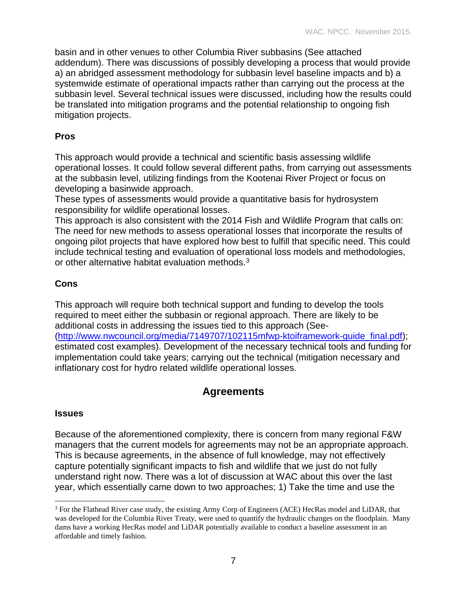basin and in other venues to other Columbia River subbasins (See attached addendum). There was discussions of possibly developing a process that would provide a) an abridged assessment methodology for subbasin level baseline impacts and b) a systemwide estimate of operational impacts rather than carrying out the process at the subbasin level. Several technical issues were discussed, including how the results could be translated into mitigation programs and the potential relationship to ongoing fish mitigation projects.

### **Pros**

This approach would provide a technical and scientific basis assessing wildlife operational losses. It could follow several different paths, from carrying out assessments at the subbasin level, utilizing findings from the Kootenai River Project or focus on developing a basinwide approach.

These types of assessments would provide a quantitative basis for hydrosystem responsibility for wildlife operational losses.

This approach is also consistent with the 2014 Fish and Wildlife Program that calls on: The need for new methods to assess operational losses that incorporate the results of ongoing pilot projects that have explored how best to fulfill that specific need. This could include technical testing and evaluation of operational loss models and methodologies, or other alternative habitat evaluation methods.<sup>[3](#page-6-0)</sup>

## **Cons**

This approach will require both technical support and funding to develop the tools required to meet either the subbasin or regional approach. There are likely to be additional costs in addressing the issues tied to this approach (See- [\(http://www.nwcouncil.org/media/7149707/102115mfwp-ktoiframework-guide\\_final.pdf\)](http://www.nwcouncil.org/media/7149707/102115mfwp-ktoiframework-guide_final.pdf); estimated cost examples). Development of the necessary technical tools and funding for implementation could take years; carrying out the technical (mitigation necessary and inflationary cost for hydro related wildlife operational losses.

# **Agreements**

### **Issues**

 $\overline{a}$ 

Because of the aforementioned complexity, there is concern from many regional F&W managers that the current models for agreements may not be an appropriate approach. This is because agreements, in the absence of full knowledge, may not effectively capture potentially significant impacts to fish and wildlife that we just do not fully understand right now. There was a lot of discussion at WAC about this over the last year, which essentially came down to two approaches; 1) Take the time and use the

<span id="page-6-0"></span><sup>&</sup>lt;sup>3</sup> For the Flathead River case study, the existing Army Corp of Engineers (ACE) HecRas model and LiDAR, that was developed for the Columbia River Treaty, were used to quantify the hydraulic changes on the floodplain. Many dams have a working HecRas model and LiDAR potentially available to conduct a baseline assessment in an affordable and timely fashion.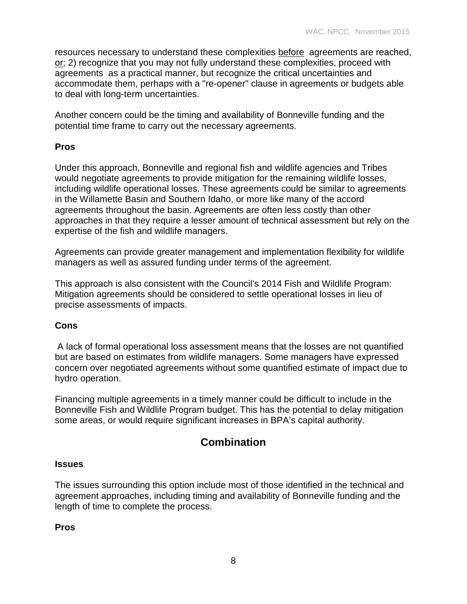resources necessary to understand these complexities before agreements are reached, or; 2) recognize that you may not fully understand these complexities, proceed with agreements as a practical manner, but recognize the critical uncertainties and accommodate them, perhaps with a "re-opener" clause in agreements or budgets able to deal with long-term uncertainties.

Another concern could be the timing and availability of Bonneville funding and the potential time frame to carry out the necessary agreements.

### **Pros**

Under this approach, Bonneville and regional fish and wildlife agencies and Tribes would negotiate agreements to provide mitigation for the remaining wildlife losses, including wildlife operational losses. These agreements could be similar to agreements in the Willamette Basin and Southern Idaho, or more like many of the accord agreements throughout the basin. Agreements are often less costly than other approaches in that they require a lesser amount of technical assessment but rely on the expertise of the fish and wildlife managers.

Agreements can provide greater management and implementation flexibility for wildlife managers as well as assured funding under terms of the agreement.

This approach is also consistent with the Council's 2014 Fish and Wildlife Program: Mitigation agreements should be considered to settle operational losses in lieu of precise assessments of impacts.

### **Cons**

A lack of formal operational loss assessment means that the losses are not quantified but are based on estimates from wildlife managers. Some managers have expressed concern over negotiated agreements without some quantified estimate of impact due to hydro operation.

Financing multiple agreements in a timely manner could be difficult to include in the Bonneville Fish and Wildlife Program budget. This has the potential to delay mitigation some areas, or would require significant increases in BPA's capital authority.

# **Combination**

#### **Issues**

The issues surrounding this option include most of those identified in the technical and agreement approaches, including timing and availability of Bonneville funding and the length of time to complete the process.

#### **Pros**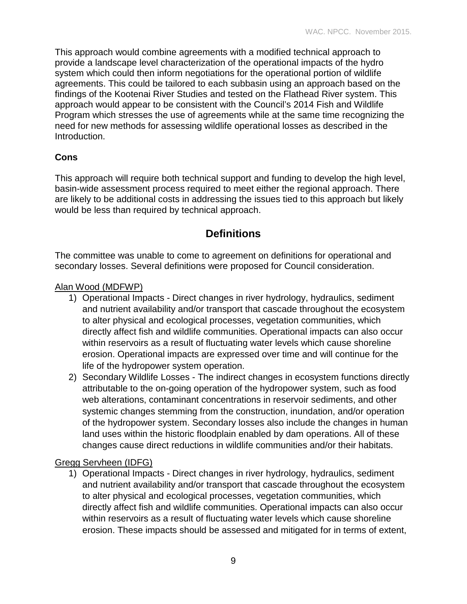This approach would combine agreements with a modified technical approach to provide a landscape level characterization of the operational impacts of the hydro system which could then inform negotiations for the operational portion of wildlife agreements. This could be tailored to each subbasin using an approach based on the findings of the Kootenai River Studies and tested on the Flathead River system. This approach would appear to be consistent with the Council's 2014 Fish and Wildlife Program which stresses the use of agreements while at the same time recognizing the need for new methods for assessing wildlife operational losses as described in the Introduction.

# **Cons**

This approach will require both technical support and funding to develop the high level, basin-wide assessment process required to meet either the regional approach. There are likely to be additional costs in addressing the issues tied to this approach but likely would be less than required by technical approach.

# **Definitions**

The committee was unable to come to agreement on definitions for operational and secondary losses. Several definitions were proposed for Council consideration.

## Alan Wood (MDFWP)

- 1) Operational Impacts Direct changes in river hydrology, hydraulics, sediment and nutrient availability and/or transport that cascade throughout the ecosystem to alter physical and ecological processes, vegetation communities, which directly affect fish and wildlife communities. Operational impacts can also occur within reservoirs as a result of fluctuating water levels which cause shoreline erosion. Operational impacts are expressed over time and will continue for the life of the hydropower system operation.
- 2) Secondary Wildlife Losses The indirect changes in ecosystem functions directly attributable to the on-going operation of the hydropower system, such as food web alterations, contaminant concentrations in reservoir sediments, and other systemic changes stemming from the construction, inundation, and/or operation of the hydropower system. Secondary losses also include the changes in human land uses within the historic floodplain enabled by dam operations. All of these changes cause direct reductions in wildlife communities and/or their habitats.

# Gregg Servheen (IDFG)

1) Operational Impacts - Direct changes in river hydrology, hydraulics, sediment and nutrient availability and/or transport that cascade throughout the ecosystem to alter physical and ecological processes, vegetation communities, which directly affect fish and wildlife communities. Operational impacts can also occur within reservoirs as a result of fluctuating water levels which cause shoreline erosion. These impacts should be assessed and mitigated for in terms of extent,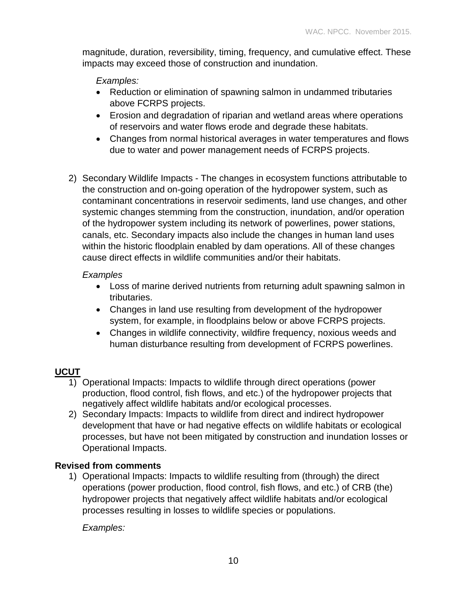magnitude, duration, reversibility, timing, frequency, and cumulative effect. These impacts may exceed those of construction and inundation.

### *Examples:*

- Reduction or elimination of spawning salmon in undammed tributaries above FCRPS projects.
- Erosion and degradation of riparian and wetland areas where operations of reservoirs and water flows erode and degrade these habitats.
- Changes from normal historical averages in water temperatures and flows due to water and power management needs of FCRPS projects.
- 2) Secondary Wildlife Impacts The changes in ecosystem functions attributable to the construction and on-going operation of the hydropower system, such as contaminant concentrations in reservoir sediments, land use changes, and other systemic changes stemming from the construction, inundation, and/or operation of the hydropower system including its network of powerlines, power stations, canals, etc. Secondary impacts also include the changes in human land uses within the historic floodplain enabled by dam operations. All of these changes cause direct effects in wildlife communities and/or their habitats.

### *Examples*

- Loss of marine derived nutrients from returning adult spawning salmon in tributaries.
- Changes in land use resulting from development of the hydropower system, for example, in floodplains below or above FCRPS projects.
- Changes in wildlife connectivity, wildfire frequency, noxious weeds and human disturbance resulting from development of FCRPS powerlines.

## **UCUT**

- 1) Operational Impacts: Impacts to wildlife through direct operations (power production, flood control, fish flows, and etc.) of the hydropower projects that negatively affect wildlife habitats and/or ecological processes.
- 2) Secondary Impacts: Impacts to wildlife from direct and indirect hydropower development that have or had negative effects on wildlife habitats or ecological processes, but have not been mitigated by construction and inundation losses or Operational Impacts.

### **Revised from comments**

1) Operational Impacts: Impacts to wildlife resulting from (through) the direct operations (power production, flood control, fish flows, and etc.) of CRB (the) hydropower projects that negatively affect wildlife habitats and/or ecological processes resulting in losses to wildlife species or populations.

*Examples:*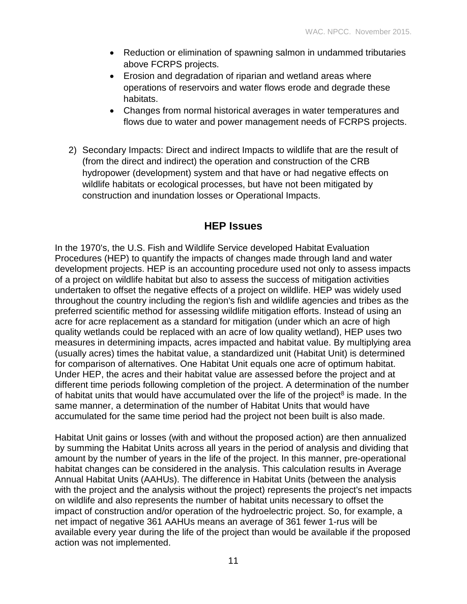- Reduction or elimination of spawning salmon in undammed tributaries above FCRPS projects.
- Erosion and degradation of riparian and wetland areas where operations of reservoirs and water flows erode and degrade these habitats.
- Changes from normal historical averages in water temperatures and flows due to water and power management needs of FCRPS projects.
- 2) Secondary Impacts: Direct and indirect Impacts to wildlife that are the result of (from the direct and indirect) the operation and construction of the CRB hydropower (development) system and that have or had negative effects on wildlife habitats or ecological processes, but have not been mitigated by construction and inundation losses or Operational Impacts.

# **HEP Issues**

In the 1970's, the U.S. Fish and Wildlife Service developed Habitat Evaluation Procedures (HEP) to quantify the impacts of changes made through land and water development projects. HEP is an accounting procedure used not only to assess impacts of a project on wildlife habitat but also to assess the success of mitigation activities undertaken to offset the negative effects of a project on wildlife. HEP was widely used throughout the country including the region's fish and wildlife agencies and tribes as the preferred scientific method for assessing wildlife mitigation efforts. Instead of using an acre for acre replacement as a standard for mitigation (under which an acre of high quality wetlands could be replaced with an acre of low quality wetland), HEP uses two measures in determining impacts, acres impacted and habitat value. By multiplying area (usually acres) times the habitat value, a standardized unit (Habitat Unit) is determined for comparison of alternatives. One Habitat Unit equals one acre of optimum habitat. Under HEP, the acres and their habitat value are assessed before the project and at different time periods following completion of the project. A determination of the number of habitat units that would have accumulated over the life of the project<sup>8</sup> is made. In the same manner, a determination of the number of Habitat Units that would have accumulated for the same time period had the project not been built is also made.

Habitat Unit gains or losses (with and without the proposed action) are then annualized by summing the Habitat Units across all years in the period of analysis and dividing that amount by the number of years in the life of the project. In this manner, pre-operational habitat changes can be considered in the analysis. This calculation results in Average Annual Habitat Units (AAHUs). The difference in Habitat Units (between the analysis with the project and the analysis without the project) represents the project's net impacts on wildlife and also represents the number of habitat units necessary to offset the impact of construction and/or operation of the hydroelectric project. So, for example, a net impact of negative 361 AAHUs means an average of 361 fewer 1-rus will be available every year during the life of the project than would be available if the proposed action was not implemented.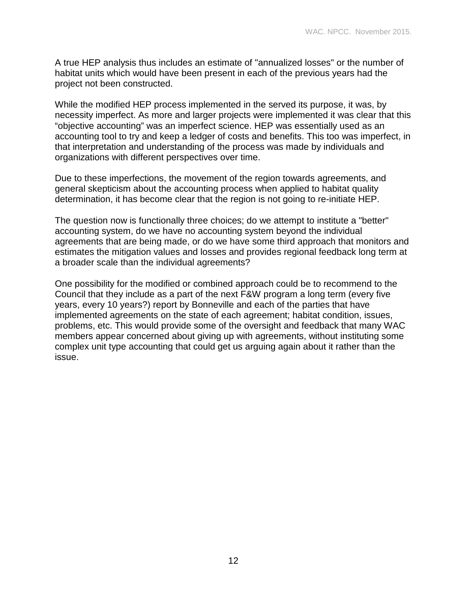A true HEP analysis thus includes an estimate of "annualized losses" or the number of habitat units which would have been present in each of the previous years had the project not been constructed.

While the modified HEP process implemented in the served its purpose, it was, by necessity imperfect. As more and larger projects were implemented it was clear that this "objective accounting" was an imperfect science. HEP was essentially used as an accounting tool to try and keep a ledger of costs and benefits. This too was imperfect, in that interpretation and understanding of the process was made by individuals and organizations with different perspectives over time.

Due to these imperfections, the movement of the region towards agreements, and general skepticism about the accounting process when applied to habitat quality determination, it has become clear that the region is not going to re-initiate HEP.

The question now is functionally three choices; do we attempt to institute a "better" accounting system, do we have no accounting system beyond the individual agreements that are being made, or do we have some third approach that monitors and estimates the mitigation values and losses and provides regional feedback long term at a broader scale than the individual agreements?

One possibility for the modified or combined approach could be to recommend to the Council that they include as a part of the next F&W program a long term (every five years, every 10 years?) report by Bonneville and each of the parties that have implemented agreements on the state of each agreement; habitat condition, issues, problems, etc. This would provide some of the oversight and feedback that many WAC members appear concerned about giving up with agreements, without instituting some complex unit type accounting that could get us arguing again about it rather than the issue.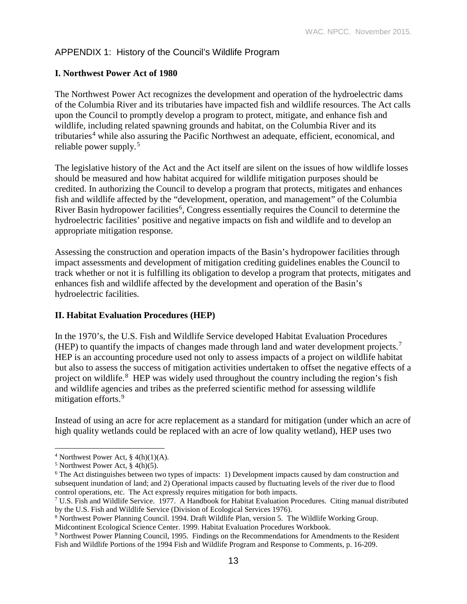## APPENDIX 1: History of the Council's Wildlife Program

### **I. Northwest Power Act of 1980**

The Northwest Power Act recognizes the development and operation of the hydroelectric dams of the Columbia River and its tributaries have impacted fish and wildlife resources. The Act calls upon the Council to promptly develop a program to protect, mitigate, and enhance fish and wildlife, including related spawning grounds and habitat, on the Columbia River and its tributaries<sup>[4](#page-12-0)</sup> while also assuring the Pacific Northwest an adequate, efficient, economical, and reliable power supply.[5](#page-12-1)

The legislative history of the Act and the Act itself are silent on the issues of how wildlife losses should be measured and how habitat acquired for wildlife mitigation purposes should be credited. In authorizing the Council to develop a program that protects, mitigates and enhances fish and wildlife affected by the "development, operation, and management" of the Columbia River Basin hydropower facilities<sup>[6](#page-12-2)</sup>, Congress essentially requires the Council to determine the hydroelectric facilities' positive and negative impacts on fish and wildlife and to develop an appropriate mitigation response.

Assessing the construction and operation impacts of the Basin's hydropower facilities through impact assessments and development of mitigation crediting guidelines enables the Council to track whether or not it is fulfilling its obligation to develop a program that protects, mitigates and enhances fish and wildlife affected by the development and operation of the Basin's hydroelectric facilities.

### **II. Habitat Evaluation Procedures (HEP)**

In the 1970's, the U.S. Fish and Wildlife Service developed Habitat Evaluation Procedures (HEP) to quantify the impacts of changes made through land and water development projects.<sup>[7](#page-12-3)</sup> HEP is an accounting procedure used not only to assess impacts of a project on wildlife habitat but also to assess the success of mitigation activities undertaken to offset the negative effects of a project on wildlife.<sup>[8](#page-12-4)</sup> HEP was widely used throughout the country including the region's fish and wildlife agencies and tribes as the preferred scientific method for assessing wildlife mitigation efforts.<sup>[9](#page-12-5)</sup>

Instead of using an acre for acre replacement as a standard for mitigation (under which an acre of high quality wetlands could be replaced with an acre of low quality wetland), HEP uses two

<span id="page-12-0"></span><sup>&</sup>lt;sup>4</sup> Northwest Power Act,  $\S$  4(h)(1)(A).  $\overline{a}$ 

<span id="page-12-1"></span> $5$  Northwest Power Act, § 4(h)(5).

<span id="page-12-2"></span><sup>6</sup> The Act distinguishes between two types of impacts: 1) Development impacts caused by dam construction and subsequent inundation of land; and 2) Operational impacts caused by fluctuating levels of the river due to flood control operations, etc. The Act expressly requires mitigation for both impacts.

<span id="page-12-3"></span><sup>7</sup> U.S. Fish and Wildlife Service. 1977. A Handbook for Habitat Evaluation Procedures. Citing manual distributed by the U.S. Fish and Wildlife Service (Division of Ecological Services 1976).

<span id="page-12-4"></span><sup>8</sup> Northwest Power Planning Council. 1994. Draft Wildlife Plan, version 5. The Wildlife Working Group.

<span id="page-12-5"></span>Midcontinent Ecological Science Center. 1999. Habitat Evaluation Procedures Workbook.<br><sup>9</sup> Northwest Power Planning Council, 1995. Findings on the Recommendations for Amendments to the Resident Fish and Wildlife Portions of the 1994 Fish and Wildlife Program and Response to Comments, p. 16-209.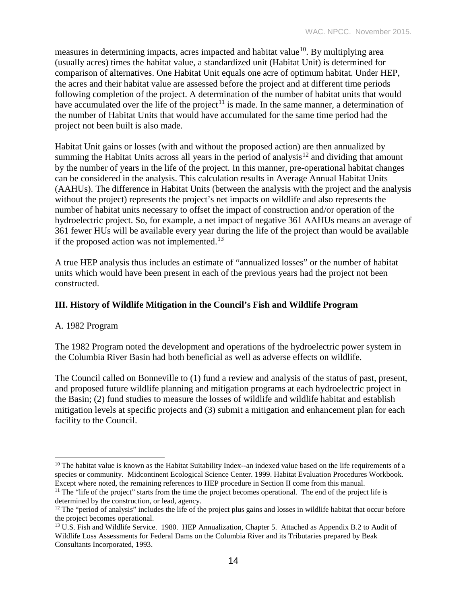measures in determining impacts, acres impacted and habitat value<sup>10</sup>. By multiplying area (usually acres) times the habitat value, a standardized unit (Habitat Unit) is determined for comparison of alternatives. One Habitat Unit equals one acre of optimum habitat. Under HEP, the acres and their habitat value are assessed before the project and at different time periods following completion of the project. A determination of the number of habitat units that would have accumulated over the life of the project<sup>[11](#page-13-1)</sup> is made. In the same manner, a determination of the number of Habitat Units that would have accumulated for the same time period had the project not been built is also made.

Habitat Unit gains or losses (with and without the proposed action) are then annualized by summing the Habitat Units across all years in the period of analysis<sup>[12](#page-13-2)</sup> and dividing that amount by the number of years in the life of the project. In this manner, pre-operational habitat changes can be considered in the analysis. This calculation results in Average Annual Habitat Units (AAHUs). The difference in Habitat Units (between the analysis with the project and the analysis without the project) represents the project's net impacts on wildlife and also represents the number of habitat units necessary to offset the impact of construction and/or operation of the hydroelectric project. So, for example, a net impact of negative 361 AAHUs means an average of 361 fewer HUs will be available every year during the life of the project than would be available if the proposed action was not implemented.<sup>[13](#page-13-3)</sup>

A true HEP analysis thus includes an estimate of "annualized losses" or the number of habitat units which would have been present in each of the previous years had the project not been constructed.

### **III. History of Wildlife Mitigation in the Council's Fish and Wildlife Program**

### A. 1982 Program

The 1982 Program noted the development and operations of the hydroelectric power system in the Columbia River Basin had both beneficial as well as adverse effects on wildlife.

The Council called on Bonneville to (1) fund a review and analysis of the status of past, present, and proposed future wildlife planning and mitigation programs at each hydroelectric project in the Basin; (2) fund studies to measure the losses of wildlife and wildlife habitat and establish mitigation levels at specific projects and (3) submit a mitigation and enhancement plan for each facility to the Council.

<span id="page-13-0"></span><sup>&</sup>lt;sup>10</sup> The habitat value is known as the Habitat Suitability Index--an indexed value based on the life requirements of a species or community. Midcontinent Ecological Science Center. 1999. Habitat Evaluation Procedures Workbook. Except where noted, the remaining references to HEP procedure in Section II come from this manual.  $\overline{a}$ 

<span id="page-13-1"></span> $11$  The "life of the project" starts from the time the project becomes operational. The end of the project life is determined by the construction, or lead, agency.

<span id="page-13-2"></span> $12$  The "period of analysis" includes the life of the project plus gains and losses in wildlife habitat that occur before the project becomes operational.

<span id="page-13-3"></span><sup>&</sup>lt;sup>13</sup> U.S. Fish and Wildlife Service. 1980. HEP Annualization, Chapter 5. Attached as Appendix B.2 to Audit of Wildlife Loss Assessments for Federal Dams on the Columbia River and its Tributaries prepared by Beak Consultants Incorporated, 1993.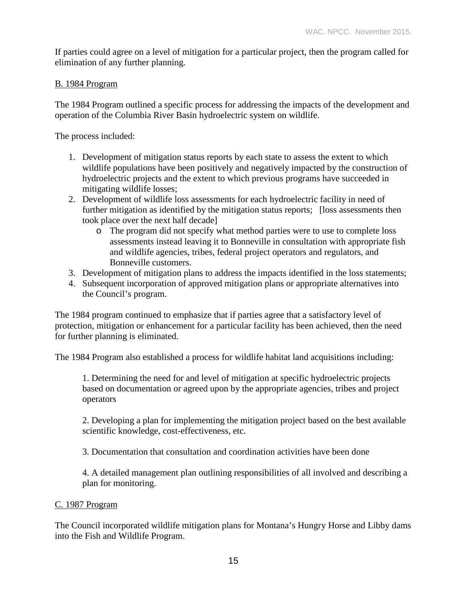If parties could agree on a level of mitigation for a particular project, then the program called for elimination of any further planning.

### B. 1984 Program

The 1984 Program outlined a specific process for addressing the impacts of the development and operation of the Columbia River Basin hydroelectric system on wildlife.

The process included:

- 1. Development of mitigation status reports by each state to assess the extent to which wildlife populations have been positively and negatively impacted by the construction of hydroelectric projects and the extent to which previous programs have succeeded in mitigating wildlife losses;
- 2. Development of wildlife loss assessments for each hydroelectric facility in need of further mitigation as identified by the mitigation status reports; [loss assessments then took place over the next half decade]
	- o The program did not specify what method parties were to use to complete loss assessments instead leaving it to Bonneville in consultation with appropriate fish and wildlife agencies, tribes, federal project operators and regulators, and Bonneville customers.
- 3. Development of mitigation plans to address the impacts identified in the loss statements;
- 4. Subsequent incorporation of approved mitigation plans or appropriate alternatives into the Council's program.

The 1984 program continued to emphasize that if parties agree that a satisfactory level of protection, mitigation or enhancement for a particular facility has been achieved, then the need for further planning is eliminated.

The 1984 Program also established a process for wildlife habitat land acquisitions including:

1. Determining the need for and level of mitigation at specific hydroelectric projects based on documentation or agreed upon by the appropriate agencies, tribes and project operators

2. Developing a plan for implementing the mitigation project based on the best available scientific knowledge, cost-effectiveness, etc.

3. Documentation that consultation and coordination activities have been done

4. A detailed management plan outlining responsibilities of all involved and describing a plan for monitoring.

#### C. 1987 Program

The Council incorporated wildlife mitigation plans for Montana's Hungry Horse and Libby dams into the Fish and Wildlife Program.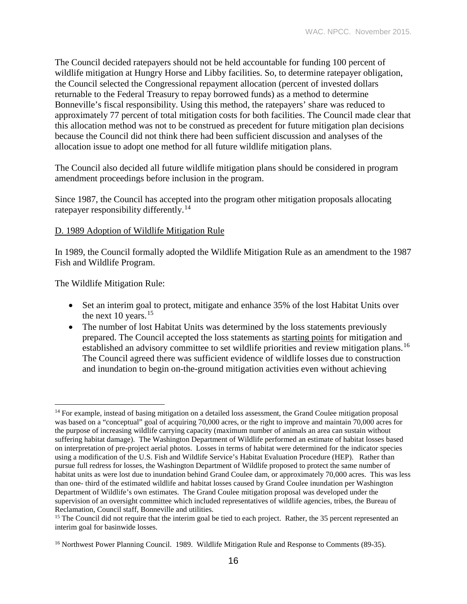The Council decided ratepayers should not be held accountable for funding 100 percent of wildlife mitigation at Hungry Horse and Libby facilities. So, to determine ratepayer obligation, the Council selected the Congressional repayment allocation (percent of invested dollars returnable to the Federal Treasury to repay borrowed funds) as a method to determine Bonneville's fiscal responsibility. Using this method, the ratepayers' share was reduced to approximately 77 percent of total mitigation costs for both facilities. The Council made clear that this allocation method was not to be construed as precedent for future mitigation plan decisions because the Council did not think there had been sufficient discussion and analyses of the allocation issue to adopt one method for all future wildlife mitigation plans.

The Council also decided all future wildlife mitigation plans should be considered in program amendment proceedings before inclusion in the program.

Since 1987, the Council has accepted into the program other mitigation proposals allocating ratepayer responsibility differently.<sup>[14](#page-15-0)</sup>

#### D. 1989 Adoption of Wildlife Mitigation Rule

In 1989, the Council formally adopted the Wildlife Mitigation Rule as an amendment to the 1987 Fish and Wildlife Program.

The Wildlife Mitigation Rule:

- Set an interim goal to protect, mitigate and enhance 35% of the lost Habitat Units over the next  $10$  years.<sup>[15](#page-15-1)</sup>
- The number of lost Habitat Units was determined by the loss statements previously prepared. The Council accepted the loss statements as starting points for mitigation and established an advisory committee to set wildlife priorities and review mitigation plans.<sup>[16](#page-15-2)</sup> The Council agreed there was sufficient evidence of wildlife losses due to construction and inundation to begin on-the-ground mitigation activities even without achieving

<span id="page-15-0"></span><sup>&</sup>lt;sup>14</sup> For example, instead of basing mitigation on a detailed loss assessment, the Grand Coulee mitigation proposal was based on a "conceptual" goal of acquiring 70,000 acres, or the right to improve and maintain 70,000 acres for the purpose of increasing wildlife carrying capacity (maximum number of animals an area can sustain without suffering habitat damage). The Washington Department of Wildlife performed an estimate of habitat losses based on interpretation of pre-project aerial photos. Losses in terms of habitat were determined for the indicator species using a modification of the U.S. Fish and Wildlife Service's Habitat Evaluation Procedure (HEP). Rather than pursue full redress for losses, the Washington Department of Wildlife proposed to protect the same number of habitat units as were lost due to inundation behind Grand Coulee dam, or approximately 70,000 acres. This was less than one- third of the estimated wildlife and habitat losses caused by Grand Coulee inundation per Washington Department of Wildlife's own estimates. The Grand Coulee mitigation proposal was developed under the supervision of an oversight committee which included representatives of wildlife agencies, tribes, the Bureau of Reclamation, Council staff, Bonneville and utilities.  $\overline{a}$ 

<span id="page-15-1"></span><sup>&</sup>lt;sup>15</sup> The Council did not require that the interim goal be tied to each project. Rather, the 35 percent represented an interim goal for basinwide losses.

<span id="page-15-2"></span><sup>&</sup>lt;sup>16</sup> Northwest Power Planning Council. 1989. Wildlife Mitigation Rule and Response to Comments (89-35).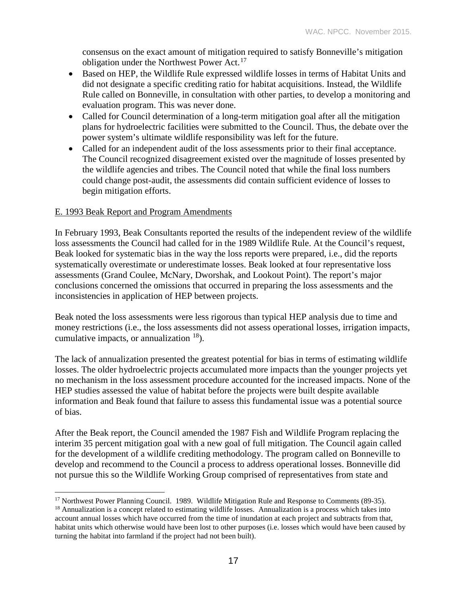consensus on the exact amount of mitigation required to satisfy Bonneville's mitigation obligation under the Northwest Power Act.<sup>[17](#page-16-0)</sup>

- Based on HEP, the Wildlife Rule expressed wildlife losses in terms of Habitat Units and did not designate a specific crediting ratio for habitat acquisitions. Instead, the Wildlife Rule called on Bonneville, in consultation with other parties, to develop a monitoring and evaluation program. This was never done.
- Called for Council determination of a long-term mitigation goal after all the mitigation plans for hydroelectric facilities were submitted to the Council. Thus, the debate over the power system's ultimate wildlife responsibility was left for the future.
- Called for an independent audit of the loss assessments prior to their final acceptance. The Council recognized disagreement existed over the magnitude of losses presented by the wildlife agencies and tribes. The Council noted that while the final loss numbers could change post-audit, the assessments did contain sufficient evidence of losses to begin mitigation efforts.

### E. 1993 Beak Report and Program Amendments

 $\overline{a}$ 

In February 1993, Beak Consultants reported the results of the independent review of the wildlife loss assessments the Council had called for in the 1989 Wildlife Rule. At the Council's request, Beak looked for systematic bias in the way the loss reports were prepared, i.e., did the reports systematically overestimate or underestimate losses. Beak looked at four representative loss assessments (Grand Coulee, McNary, Dworshak, and Lookout Point). The report's major conclusions concerned the omissions that occurred in preparing the loss assessments and the inconsistencies in application of HEP between projects.

Beak noted the loss assessments were less rigorous than typical HEP analysis due to time and money restrictions (i.e., the loss assessments did not assess operational losses, irrigation impacts, cumulative impacts, or annualization  $^{18}$  $^{18}$  $^{18}$ ).

The lack of annualization presented the greatest potential for bias in terms of estimating wildlife losses. The older hydroelectric projects accumulated more impacts than the younger projects yet no mechanism in the loss assessment procedure accounted for the increased impacts. None of the HEP studies assessed the value of habitat before the projects were built despite available information and Beak found that failure to assess this fundamental issue was a potential source of bias.

After the Beak report, the Council amended the 1987 Fish and Wildlife Program replacing the interim 35 percent mitigation goal with a new goal of full mitigation. The Council again called for the development of a wildlife crediting methodology. The program called on Bonneville to develop and recommend to the Council a process to address operational losses. Bonneville did not pursue this so the Wildlife Working Group comprised of representatives from state and

<span id="page-16-1"></span><span id="page-16-0"></span><sup>&</sup>lt;sup>17</sup> Northwest Power Planning Council. 1989. Wildlife Mitigation Rule and Response to Comments (89-35). <sup>18</sup> Annualization is a concept related to estimating wildlife losses. Annualization is a process which takes into account annual losses which have occurred from the time of inundation at each project and subtracts from that,

habitat units which otherwise would have been lost to other purposes (i.e. losses which would have been caused by turning the habitat into farmland if the project had not been built).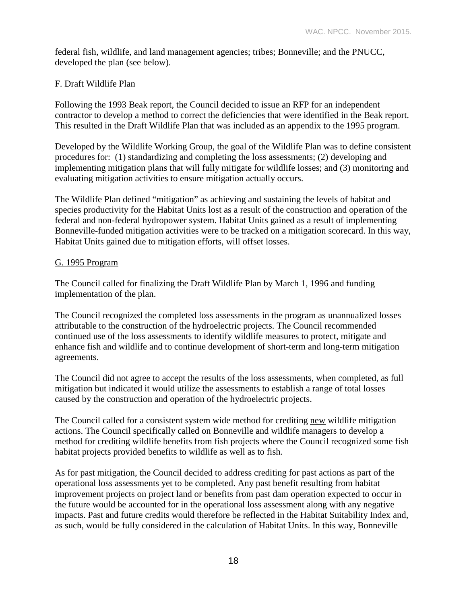federal fish, wildlife, and land management agencies; tribes; Bonneville; and the PNUCC, developed the plan (see below).

### F. Draft Wildlife Plan

Following the 1993 Beak report, the Council decided to issue an RFP for an independent contractor to develop a method to correct the deficiencies that were identified in the Beak report. This resulted in the Draft Wildlife Plan that was included as an appendix to the 1995 program.

Developed by the Wildlife Working Group, the goal of the Wildlife Plan was to define consistent procedures for: (1) standardizing and completing the loss assessments; (2) developing and implementing mitigation plans that will fully mitigate for wildlife losses; and (3) monitoring and evaluating mitigation activities to ensure mitigation actually occurs.

The Wildlife Plan defined "mitigation" as achieving and sustaining the levels of habitat and species productivity for the Habitat Units lost as a result of the construction and operation of the federal and non-federal hydropower system. Habitat Units gained as a result of implementing Bonneville-funded mitigation activities were to be tracked on a mitigation scorecard. In this way, Habitat Units gained due to mitigation efforts, will offset losses.

### G. 1995 Program

The Council called for finalizing the Draft Wildlife Plan by March 1, 1996 and funding implementation of the plan.

The Council recognized the completed loss assessments in the program as unannualized losses attributable to the construction of the hydroelectric projects. The Council recommended continued use of the loss assessments to identify wildlife measures to protect, mitigate and enhance fish and wildlife and to continue development of short-term and long-term mitigation agreements.

The Council did not agree to accept the results of the loss assessments, when completed, as full mitigation but indicated it would utilize the assessments to establish a range of total losses caused by the construction and operation of the hydroelectric projects.

The Council called for a consistent system wide method for crediting new wildlife mitigation actions. The Council specifically called on Bonneville and wildlife managers to develop a method for crediting wildlife benefits from fish projects where the Council recognized some fish habitat projects provided benefits to wildlife as well as to fish.

As for past mitigation, the Council decided to address crediting for past actions as part of the operational loss assessments yet to be completed. Any past benefit resulting from habitat improvement projects on project land or benefits from past dam operation expected to occur in the future would be accounted for in the operational loss assessment along with any negative impacts. Past and future credits would therefore be reflected in the Habitat Suitability Index and, as such, would be fully considered in the calculation of Habitat Units. In this way, Bonneville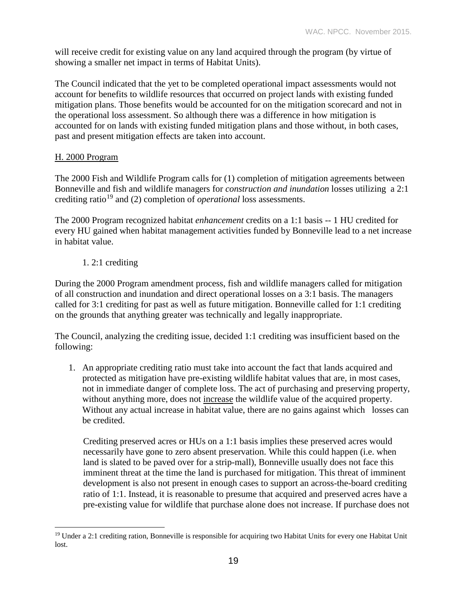will receive credit for existing value on any land acquired through the program (by virtue of showing a smaller net impact in terms of Habitat Units).

The Council indicated that the yet to be completed operational impact assessments would not account for benefits to wildlife resources that occurred on project lands with existing funded mitigation plans. Those benefits would be accounted for on the mitigation scorecard and not in the operational loss assessment. So although there was a difference in how mitigation is accounted for on lands with existing funded mitigation plans and those without, in both cases, past and present mitigation effects are taken into account.

### H. 2000 Program

The 2000 Fish and Wildlife Program calls for (1) completion of mitigation agreements between Bonneville and fish and wildlife managers for *construction and inundation* losses utilizing a 2:1 crediting ratio[19](#page-18-0) and (2) completion of *operational* loss assessments.

The 2000 Program recognized habitat *enhancement* credits on a 1:1 basis -- 1 HU credited for every HU gained when habitat management activities funded by Bonneville lead to a net increase in habitat value.

1. 2:1 crediting

During the 2000 Program amendment process, fish and wildlife managers called for mitigation of all construction and inundation and direct operational losses on a 3:1 basis. The managers called for 3:1 crediting for past as well as future mitigation. Bonneville called for 1:1 crediting on the grounds that anything greater was technically and legally inappropriate.

The Council, analyzing the crediting issue, decided 1:1 crediting was insufficient based on the following:

1. An appropriate crediting ratio must take into account the fact that lands acquired and protected as mitigation have pre-existing wildlife habitat values that are, in most cases, not in immediate danger of complete loss. The act of purchasing and preserving property, without anything more, does not increase the wildlife value of the acquired property. Without any actual increase in habitat value, there are no gains against which losses can be credited.

Crediting preserved acres or HUs on a 1:1 basis implies these preserved acres would necessarily have gone to zero absent preservation. While this could happen (i.e. when land is slated to be paved over for a strip-mall), Bonneville usually does not face this imminent threat at the time the land is purchased for mitigation. This threat of imminent development is also not present in enough cases to support an across-the-board crediting ratio of 1:1. Instead, it is reasonable to presume that acquired and preserved acres have a pre-existing value for wildlife that purchase alone does not increase. If purchase does not

<span id="page-18-0"></span> $19$  Under a 2:1 crediting ration, Bonneville is responsible for acquiring two Habitat Units for every one Habitat Unit lost.  $\overline{a}$